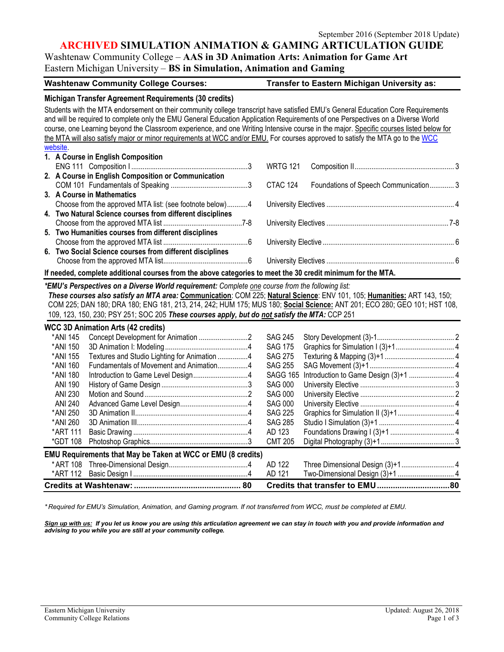## **ARCHIVED SIMULATION ANIMATION & GAMING ARTICULATION GUIDE**

Washtenaw Community College – **AAS in 3D Animation Arts: Animation for Game Art** Eastern Michigan University – **BS in Simulation, Animation and Gaming**

| Washtenaw Community College Courses: | <b>Transfer to Eastern Michigan University as:</b> |
|--------------------------------------|----------------------------------------------------|
|--------------------------------------|----------------------------------------------------|

|                                                                                                                          | Michigan Transfer Agreement Requirements (30 credits)                                                                                  |  |                 |                                                                                                                          |  |  |
|--------------------------------------------------------------------------------------------------------------------------|----------------------------------------------------------------------------------------------------------------------------------------|--|-----------------|--------------------------------------------------------------------------------------------------------------------------|--|--|
|                                                                                                                          | Students with the MTA endorsement on their community college transcript have satisfied EMU's General Education Core Requirements       |  |                 |                                                                                                                          |  |  |
|                                                                                                                          | and will be required to complete only the EMU General Education Application Requirements of one Perspectives on a Diverse World        |  |                 |                                                                                                                          |  |  |
|                                                                                                                          | course, one Learning beyond the Classroom experience, and one Writing Intensive course in the major. Specific courses listed below for |  |                 |                                                                                                                          |  |  |
|                                                                                                                          | the MTA will also satisfy major or minor requirements at WCC and/or EMU. For courses approved to satisfy the MTA go to the WCC         |  |                 |                                                                                                                          |  |  |
| website.                                                                                                                 |                                                                                                                                        |  |                 |                                                                                                                          |  |  |
|                                                                                                                          | 1. A Course in English Composition                                                                                                     |  |                 |                                                                                                                          |  |  |
|                                                                                                                          |                                                                                                                                        |  | <b>WRTG 121</b> |                                                                                                                          |  |  |
|                                                                                                                          | 2. A Course in English Composition or Communication                                                                                    |  |                 |                                                                                                                          |  |  |
|                                                                                                                          |                                                                                                                                        |  | CTAC 124        | Foundations of Speech Communication 3                                                                                    |  |  |
|                                                                                                                          | 3. A Course in Mathematics                                                                                                             |  |                 |                                                                                                                          |  |  |
|                                                                                                                          | Choose from the approved MTA list: (see footnote below)4                                                                               |  |                 |                                                                                                                          |  |  |
| 4. Two Natural Science courses from different disciplines                                                                |                                                                                                                                        |  |                 |                                                                                                                          |  |  |
|                                                                                                                          |                                                                                                                                        |  |                 |                                                                                                                          |  |  |
|                                                                                                                          | 5. Two Humanities courses from different disciplines                                                                                   |  |                 |                                                                                                                          |  |  |
|                                                                                                                          |                                                                                                                                        |  |                 |                                                                                                                          |  |  |
|                                                                                                                          | 6. Two Social Science courses from different disciplines                                                                               |  |                 |                                                                                                                          |  |  |
|                                                                                                                          |                                                                                                                                        |  |                 |                                                                                                                          |  |  |
|                                                                                                                          | If needed, complete additional courses from the above categories to meet the 30 credit minimum for the MTA.                            |  |                 |                                                                                                                          |  |  |
| *EMU's Perspectives on a Diverse World requirement: Complete one course from the following list:                         |                                                                                                                                        |  |                 |                                                                                                                          |  |  |
| These courses also satisfy an MTA area: Communication: COM 225; Natural Science: ENV 101, 105; Humanities: ART 143, 150; |                                                                                                                                        |  |                 |                                                                                                                          |  |  |
|                                                                                                                          |                                                                                                                                        |  |                 | COM 225; DAN 180; DRA 180; ENG 181, 213, 214, 242; HUM 175; MUS 180; Social Science: ANT 201; ECO 280; GEO 101; HST 108, |  |  |
|                                                                                                                          | 109, 123, 150, 230; PSY 251; SOC 205 These courses apply, but do not satisfy the MTA: CCP 251                                          |  |                 |                                                                                                                          |  |  |
|                                                                                                                          |                                                                                                                                        |  |                 |                                                                                                                          |  |  |
| *ANI 145                                                                                                                 | <b>WCC 3D Animation Arts (42 credits)</b>                                                                                              |  | <b>SAG 245</b>  |                                                                                                                          |  |  |
| *ANI 150                                                                                                                 |                                                                                                                                        |  | <b>SAG 175</b>  |                                                                                                                          |  |  |
| *ANI 155                                                                                                                 | Textures and Studio Lighting for Animation 4                                                                                           |  | <b>SAG 275</b>  |                                                                                                                          |  |  |
| *ANI 160                                                                                                                 | Fundamentals of Movement and Animation4                                                                                                |  | <b>SAG 255</b>  |                                                                                                                          |  |  |
| *ANI 180                                                                                                                 |                                                                                                                                        |  | <b>SAGG 165</b> |                                                                                                                          |  |  |
| <b>ANI 190</b>                                                                                                           |                                                                                                                                        |  | <b>SAG 000</b>  |                                                                                                                          |  |  |
| <b>ANI 230</b>                                                                                                           |                                                                                                                                        |  | <b>SAG 000</b>  |                                                                                                                          |  |  |
| <b>ANI 240</b>                                                                                                           |                                                                                                                                        |  | <b>SAG 000</b>  |                                                                                                                          |  |  |
| *ANI 250                                                                                                                 |                                                                                                                                        |  | <b>SAG 225</b>  |                                                                                                                          |  |  |
| *ANI 260                                                                                                                 |                                                                                                                                        |  | <b>SAG 285</b>  |                                                                                                                          |  |  |
| *ART 111                                                                                                                 |                                                                                                                                        |  | AD 123          |                                                                                                                          |  |  |
| *GDT 108                                                                                                                 |                                                                                                                                        |  | <b>CMT 205</b>  |                                                                                                                          |  |  |
|                                                                                                                          |                                                                                                                                        |  |                 |                                                                                                                          |  |  |
| EMU Requirements that May be Taken at WCC or EMU (8 credits)                                                             |                                                                                                                                        |  |                 |                                                                                                                          |  |  |
| * ART 108                                                                                                                |                                                                                                                                        |  | AD 122          |                                                                                                                          |  |  |
| *ART 112                                                                                                                 |                                                                                                                                        |  | AD 121          | Two-Dimensional Design (3)+1  4                                                                                          |  |  |

*\* Required for EMU's Simulation, Animation, and Gaming program. If not transferred from WCC, must be completed at EMU.*

*Sign up with us: If you let us know you are using this articulation agreement we can stay in touch with you and provide information and advising to you while you are still at your community college.* 

**Credits at Washtenaw:............................................... 80 Credits that transfer to EMU................................80**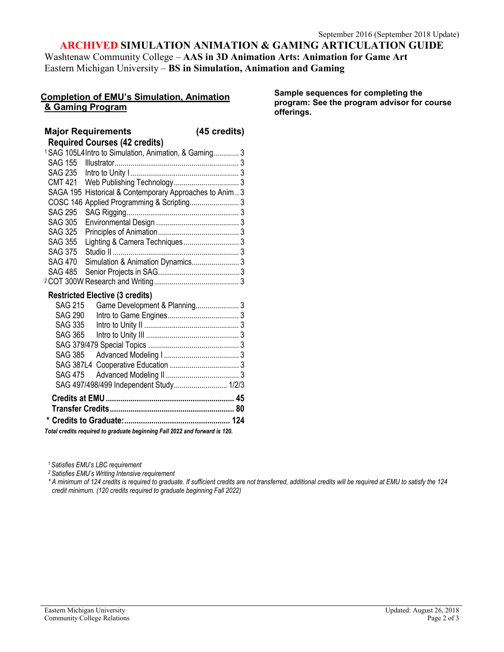# **ARCHIVED SIMULATION ANIMATION & GAMING ARTICULATION GUIDE**

Washtenaw Community College – **AAS in 3D Animation Arts: Animation for Game Art** Eastern Michigan University – **BS in Simulation, Animation and Gaming**

### **Completion of EMU's Simulation, Animation & Gaming Program**

**Sample sequences for completing the program: See the program advisor for course offerings.** 

#### **Major Requirements (45 credits) Required Courses (42 credits)** 1SAG 105L4Intro to Simulation, Animation, & Gaming............. 3 SAG 155 Illustrator............................................................... 3 SAG 235 Intro to Unity I....................................................... 3 CMT 421 Web Publishing Technology................................. 3 SAGA 195 Historical & Contemporary Approaches to Anim.. 3 COSC 146 Applied Programming & Scripting......................... 3 SAG 295 SAG Rigging......................................................... 3 SAG 305 Environmental Design .......................................... 3 SAG 325 Principles of Animation......................................... 3 SAG 355 Lighting & Camera Techniques ............................ 3 SAG 375 Studio II ................................................................ 3 SAG 470 Simulation & Animation Dynamics........................ 3 SAG 485 Senior Projects in SAG......................................... 3 2COT 300W Research and Writing........................................... 3 **Restricted Elective (3 credits)** SAG 215 Game Development & Planning...................... 3 SAG 290 Intro to Game Engines.................................... 3 SAG 335 Intro to Unity II ................................................ 3 SAG 365 Intro to Unity III ............................................... 3 SAG 379/479 Special Topics .............................................. 3 SAG 385 Advanced Modeling I ...................................... 3 SAG 387L4 Cooperative Education ................................... 3 SAG 475 Advanced Modeling II ..................................... 3 SAG 497/498/499 Independent Study........................... 1/2/3 **Credits at EMU.............................................................. 45 Transfer Credits............................................................ 80 \* Credits to Graduate:................................................... 124**

*Total credits required to graduate beginning Fall 2022 and forward is 120.*

*1 Satisfies EMU's LBC requirement*

*2 Satisfies EMU's Writing Intensive requirement*

*\* A minimum of 124 credits is required to graduate. If sufficient credits are not transferred, additional credits will be required at EMU to satisfy the 124 credit minimum. (120 credits required to graduate beginning Fall 2022)*